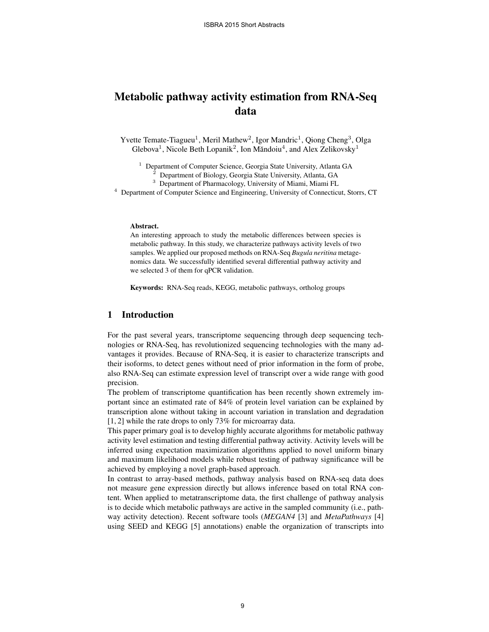# Metabolic pathway activity estimation from RNA-Seq data

Yvette Temate-Tiagueu<sup>1</sup>, Meril Mathew<sup>2</sup>, Igor Mandric<sup>1</sup>, Qiong Cheng<sup>3</sup>, Olga Glebova<sup>1</sup>, Nicole Beth Lopanik<sup>2</sup>, Ion Măndoiu<sup>4</sup>, and Alex Zelikovsky<sup>1</sup>

<sup>1</sup> Department of Computer Science, Georgia State University, Atlanta GA

<sup>2</sup> Department of Biology, Georgia State University, Atlanta, GA

<sup>3</sup> Department of Pharmacology, University of Miami, Miami FL

<sup>4</sup> Department of Computer Science and Engineering, University of Connecticut, Storrs, CT

### Abstract.

An interesting approach to study the metabolic differences between species is metabolic pathway. In this study, we characterize pathways activity levels of two samples. We applied our proposed methods on RNA-Seq *Bugula neritina* metagenomics data. We successfully identified several differential pathway activity and we selected 3 of them for qPCR validation.

Keywords: RNA-Seq reads, KEGG, metabolic pathways, ortholog groups

## 1 Introduction

For the past several years, transcriptome sequencing through deep sequencing technologies or RNA-Seq, has revolutionized sequencing technologies with the many advantages it provides. Because of RNA-Seq, it is easier to characterize transcripts and their isoforms, to detect genes without need of prior information in the form of probe, also RNA-Seq can estimate expression level of transcript over a wide range with good precision.

The problem of transcriptome quantification has been recently shown extremely important since an estimated rate of 84% of protein level variation can be explained by transcription alone without taking in account variation in translation and degradation [1, 2] while the rate drops to only 73% for microarray data.

This paper primary goal is to develop highly accurate algorithms for metabolic pathway activity level estimation and testing differential pathway activity. Activity levels will be inferred using expectation maximization algorithms applied to novel uniform binary and maximum likelihood models while robust testing of pathway significance will be achieved by employing a novel graph-based approach.

In contrast to array-based methods, pathway analysis based on RNA-seq data does not measure gene expression directly but allows inference based on total RNA content. When applied to metatranscriptome data, the first challenge of pathway analysis is to decide which metabolic pathways are active in the sampled community (i.e., pathway activity detection). Recent software tools (*MEGAN4* [3] and *MetaPathways* [4] using SEED and KEGG [5] annotations) enable the organization of transcripts into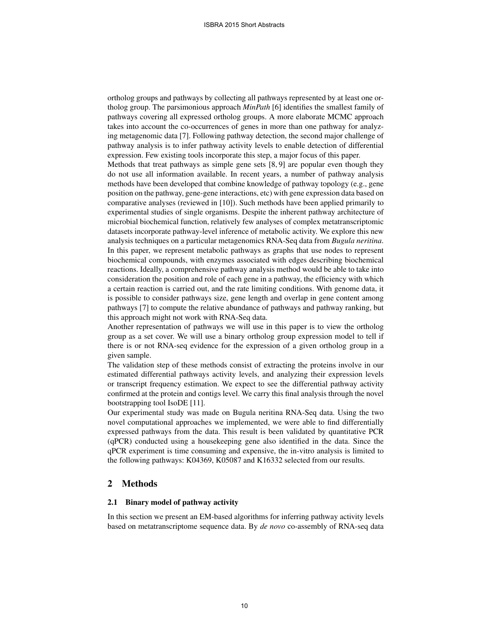ortholog groups and pathways by collecting all pathways represented by at least one ortholog group. The parsimonious approach *MinPath* [6] identifies the smallest family of pathways covering all expressed ortholog groups. A more elaborate MCMC approach takes into account the co-occurrences of genes in more than one pathway for analyzing metagenomic data [7]. Following pathway detection, the second major challenge of pathway analysis is to infer pathway activity levels to enable detection of differential expression. Few existing tools incorporate this step, a major focus of this paper.

Methods that treat pathways as simple gene sets [8, 9] are popular even though they do not use all information available. In recent years, a number of pathway analysis methods have been developed that combine knowledge of pathway topology (e.g., gene position on the pathway, gene-gene interactions, etc) with gene expression data based on comparative analyses (reviewed in [10]). Such methods have been applied primarily to experimental studies of single organisms. Despite the inherent pathway architecture of microbial biochemical function, relatively few analyses of complex metatranscriptomic datasets incorporate pathway-level inference of metabolic activity. We explore this new analysis techniques on a particular metagenomics RNA-Seq data from *Bugula neritina*. In this paper, we represent metabolic pathways as graphs that use nodes to represent biochemical compounds, with enzymes associated with edges describing biochemical reactions. Ideally, a comprehensive pathway analysis method would be able to take into consideration the position and role of each gene in a pathway, the efficiency with which a certain reaction is carried out, and the rate limiting conditions. With genome data, it is possible to consider pathways size, gene length and overlap in gene content among pathways [7] to compute the relative abundance of pathways and pathway ranking, but this approach might not work with RNA-Seq data.

Another representation of pathways we will use in this paper is to view the ortholog group as a set cover. We will use a binary ortholog group expression model to tell if there is or not RNA-seq evidence for the expression of a given ortholog group in a given sample.

The validation step of these methods consist of extracting the proteins involve in our estimated differential pathways activity levels, and analyzing their expression levels or transcript frequency estimation. We expect to see the differential pathway activity confirmed at the protein and contigs level. We carry this final analysis through the novel bootstrapping tool IsoDE [11].

Our experimental study was made on Bugula neritina RNA-Seq data. Using the two novel computational approaches we implemented, we were able to find differentially expressed pathways from the data. This result is been validated by quantitative PCR (qPCR) conducted using a housekeeping gene also identified in the data. Since the qPCR experiment is time consuming and expensive, the in-vitro analysis is limited to the following pathways: K04369, K05087 and K16332 selected from our results.

# 2 Methods

## 2.1 Binary model of pathway activity

In this section we present an EM-based algorithms for inferring pathway activity levels based on metatranscriptome sequence data. By *de novo* co-assembly of RNA-seq data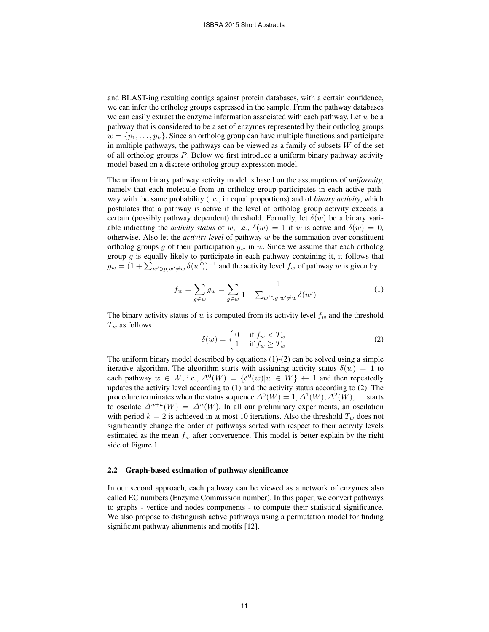and BLAST-ing resulting contigs against protein databases, with a certain confidence, we can infer the ortholog groups expressed in the sample. From the pathway databases we can easily extract the enzyme information associated with each pathway. Let  $w$  be a pathway that is considered to be a set of enzymes represented by their ortholog groups  $w = \{p_1, \ldots, p_k\}$ . Since an ortholog group can have multiple functions and participate in multiple pathways, the pathways can be viewed as a family of subsets  $W$  of the set of all ortholog groups P. Below we first introduce a uniform binary pathway activity model based on a discrete ortholog group expression model.

The uniform binary pathway activity model is based on the assumptions of *uniformity*, namely that each molecule from an ortholog group participates in each active pathway with the same probability (i.e., in equal proportions) and of *binary activity*, which postulates that a pathway is active if the level of ortholog group activity exceeds a certain (possibly pathway dependent) threshold. Formally, let  $\delta(w)$  be a binary variable indicating the *activity status* of w, i.e.,  $\delta(w) = 1$  if w is active and  $\delta(w) = 0$ , otherwise. Also let the *activity level* of pathway w be the summation over constituent ortholog groups g of their participation  $g_w$  in w. Since we assume that each ortholog group  $g$  is equally likely to participate in each pathway containing it, it follows that  $g_w = (1 + \sum_{w' \ni p, w' \neq w} \delta(w'))^{-1}$  and the activity level  $f_w$  of pathway w is given by

$$
f_w = \sum_{g \in w} g_w = \sum_{g \in w} \frac{1}{1 + \sum_{w' \ni g, w' \neq w} \delta(w')}
$$
 (1)

The binary activity status of w is computed from its activity level  $f_w$  and the threshold  $T_w$  as follows

$$
\delta(w) = \begin{cases} 0 & \text{if } f_w < T_w \\ 1 & \text{if } f_w \ge T_w \end{cases} \tag{2}
$$

The uniform binary model described by equations (1)-(2) can be solved using a simple iterative algorithm. The algorithm starts with assigning activity status  $\delta(w) = 1$  to each pathway  $w \in W$ , i.e.,  $\Delta^{0}(W) = \{\delta^{0}(w)|w \in W\} \leftarrow 1$  and then repeatedly updates the activity level according to (1) and the activity status according to (2). The procedure terminates when the status sequence  $\Delta^{0}(W) = 1, \Delta^{1}(W), \Delta^{2}(W), \ldots$  starts to oscilate  $\Delta^{n+k}(W) = \Delta^n(W)$ . In all our preliminary experiments, an oscilation with period  $k = 2$  is achieved in at most 10 iterations. Also the threshold  $T_w$  does not significantly change the order of pathways sorted with respect to their activity levels estimated as the mean  $f_w$  after convergence. This model is better explain by the right side of Figure 1.

#### 2.2 Graph-based estimation of pathway significance

In our second approach, each pathway can be viewed as a network of enzymes also called EC numbers (Enzyme Commission number). In this paper, we convert pathways to graphs - vertice and nodes components - to compute their statistical significance. We also propose to distinguish active pathways using a permutation model for finding significant pathway alignments and motifs [12].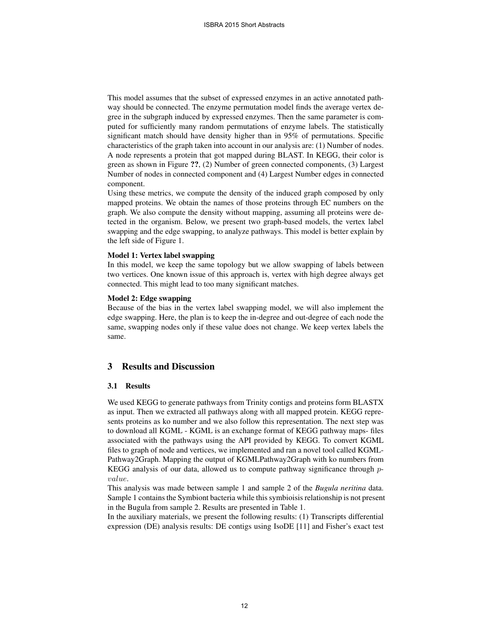This model assumes that the subset of expressed enzymes in an active annotated pathway should be connected. The enzyme permutation model finds the average vertex degree in the subgraph induced by expressed enzymes. Then the same parameter is computed for sufficiently many random permutations of enzyme labels. The statistically significant match should have density higher than in 95% of permutations. Specific characteristics of the graph taken into account in our analysis are: (1) Number of nodes. A node represents a protein that got mapped during BLAST. In KEGG, their color is green as shown in Figure ??, (2) Number of green connected components, (3) Largest Number of nodes in connected component and (4) Largest Number edges in connected component.

Using these metrics, we compute the density of the induced graph composed by only mapped proteins. We obtain the names of those proteins through EC numbers on the graph. We also compute the density without mapping, assuming all proteins were detected in the organism. Below, we present two graph-based models, the vertex label swapping and the edge swapping, to analyze pathways. This model is better explain by the left side of Figure 1.

#### Model 1: Vertex label swapping

In this model, we keep the same topology but we allow swapping of labels between two vertices. One known issue of this approach is, vertex with high degree always get connected. This might lead to too many significant matches.

### Model 2: Edge swapping

Because of the bias in the vertex label swapping model, we will also implement the edge swapping. Here, the plan is to keep the in-degree and out-degree of each node the same, swapping nodes only if these value does not change. We keep vertex labels the same.

## 3 Results and Discussion

### 3.1 Results

We used KEGG to generate pathways from Trinity contigs and proteins form BLASTX as input. Then we extracted all pathways along with all mapped protein. KEGG represents proteins as ko number and we also follow this representation. The next step was to download all KGML - KGML is an exchange format of KEGG pathway maps- files associated with the pathways using the API provided by KEGG. To convert KGML files to graph of node and vertices, we implemented and ran a novel tool called KGML-Pathway2Graph. Mapping the output of KGMLPathway2Graph with ko numbers from KEGG analysis of our data, allowed us to compute pathway significance through pvalue.

This analysis was made between sample 1 and sample 2 of the *Bugula neritina* data. Sample 1 contains the Symbiont bacteria while this symbioisis relationship is not present in the Bugula from sample 2. Results are presented in Table 1.

In the auxiliary materials, we present the following results: (1) Transcripts differential expression (DE) analysis results: DE contigs using IsoDE [11] and Fisher's exact test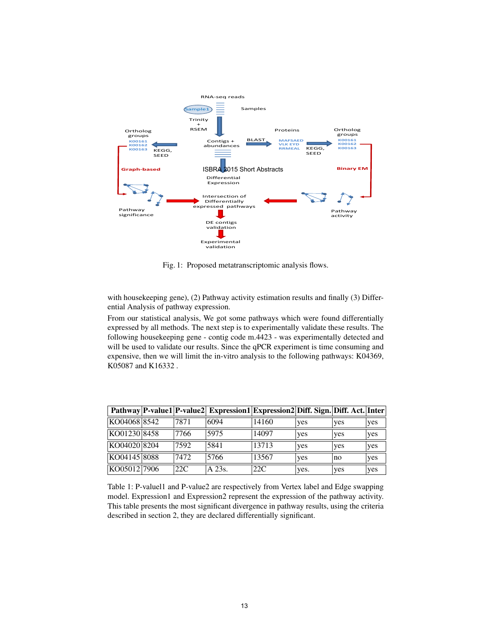

Fig. 1: Proposed metatranscriptomic analysis flows.

with housekeeping gene), (2) Pathway activity estimation results and finally (3) Differential Analysis of pathway expression.

From our statistical analysis, We got some pathways which were found differentially expressed by all methods. The next step is to experimentally validate these results. The following housekeeping gene - contig code m.4423 - was experimentally detected and will be used to validate our results. Since the qPCR experiment is time consuming and expensive, then we will limit the in-vitro analysis to the following pathways: K04369, K05087 and K16332 .

|              |      | Pathway P-value1 P-value2 Expression1 Expression2 Diff. Sign. Diff. Act. Inter |       |            |     |     |
|--------------|------|--------------------------------------------------------------------------------|-------|------------|-----|-----|
| KO04068 8542 | 7871 | 6094                                                                           | 14160 | ves        | yes | yes |
| KO01230 8458 | 7766 | 5975                                                                           | 14097 | yes        | yes | yes |
| KO04020 8204 | 7592 | 5841                                                                           | 13713 | yes        | yes | yes |
| KO04145 8088 | 7472 | 5766                                                                           | 13567 | <b>yes</b> | no  | yes |
| KO05012 7906 | 22C  | A 23s.                                                                         | 22C   | yes.       | yes | yes |

Table 1: P-valuel1 and P-value2 are respectively from Vertex label and Edge swapping model. Expression1 and Expression2 represent the expression of the pathway activity. This table presents the most significant divergence in pathway results, using the criteria described in section 2, they are declared differentially significant.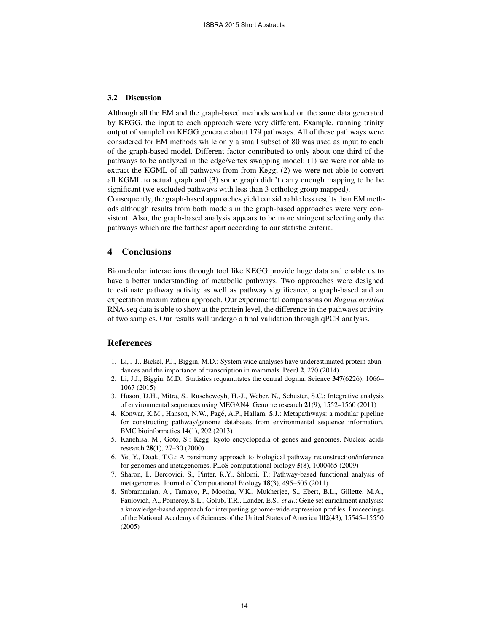#### 3.2 Discussion

Although all the EM and the graph-based methods worked on the same data generated by KEGG, the input to each approach were very different. Example, running trinity output of sample1 on KEGG generate about 179 pathways. All of these pathways were considered for EM methods while only a small subset of 80 was used as input to each of the graph-based model. Different factor contributed to only about one third of the pathways to be analyzed in the edge/vertex swapping model: (1) we were not able to extract the KGML of all pathways from from Kegg; (2) we were not able to convert all KGML to actual graph and (3) some graph didn't carry enough mapping to be be significant (we excluded pathways with less than 3 ortholog group mapped).

Consequently, the graph-based approaches yield considerable less results than EM methods although results from both models in the graph-based approaches were very consistent. Also, the graph-based analysis appears to be more stringent selecting only the pathways which are the farthest apart according to our statistic criteria.

## 4 Conclusions

Biomelcular interactions through tool like KEGG provide huge data and enable us to have a better understanding of metabolic pathways. Two approaches were designed to estimate pathway activity as well as pathway significance, a graph-based and an expectation maximization approach. Our experimental comparisons on *Bugula neritina* RNA-seq data is able to show at the protein level, the difference in the pathways activity of two samples. Our results will undergo a final validation through qPCR analysis.

## References

- 1. Li, J.J., Bickel, P.J., Biggin, M.D.: System wide analyses have underestimated protein abundances and the importance of transcription in mammals. PeerJ 2, 270 (2014)
- 2. Li, J.J., Biggin, M.D.: Statistics requantitates the central dogma. Science 347(6226), 1066– 1067 (2015)
- 3. Huson, D.H., Mitra, S., Ruscheweyh, H.-J., Weber, N., Schuster, S.C.: Integrative analysis of environmental sequences using MEGAN4. Genome research 21(9), 1552–1560 (2011)
- 4. Konwar, K.M., Hanson, N.W., Pagé, A.P., Hallam, S.J.: Metapathways: a modular pipeline for constructing pathway/genome databases from environmental sequence information. BMC bioinformatics 14(1), 202 (2013)
- 5. Kanehisa, M., Goto, S.: Kegg: kyoto encyclopedia of genes and genomes. Nucleic acids research 28(1), 27–30 (2000)
- 6. Ye, Y., Doak, T.G.: A parsimony approach to biological pathway reconstruction/inference for genomes and metagenomes. PLoS computational biology 5(8), 1000465 (2009)
- 7. Sharon, I., Bercovici, S., Pinter, R.Y., Shlomi, T.: Pathway-based functional analysis of metagenomes. Journal of Computational Biology 18(3), 495–505 (2011)
- 8. Subramanian, A., Tamayo, P., Mootha, V.K., Mukherjee, S., Ebert, B.L., Gillette, M.A., Paulovich, A., Pomeroy, S.L., Golub, T.R., Lander, E.S., *et al.*: Gene set enrichment analysis: a knowledge-based approach for interpreting genome-wide expression profiles. Proceedings of the National Academy of Sciences of the United States of America 102(43), 15545–15550 (2005)